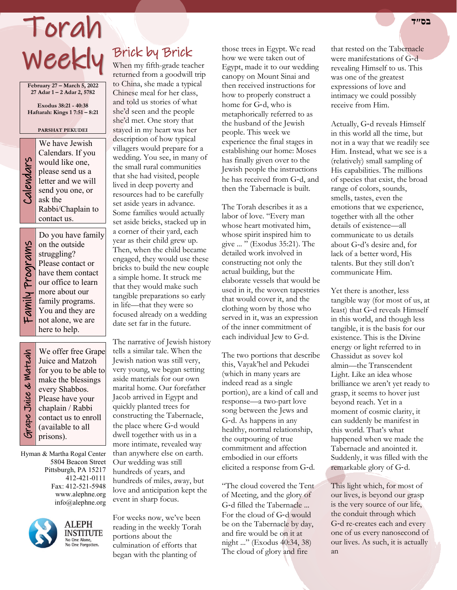# Torah **בס״ד**  Weekly

**February 27 – March 5, 2022 27 Adar 1 – 2 Adar 2, 5782**

**Exodus 38:21 - 40:38 Haftarah: Kings 1 7:51 – 8:21**

#### **PARSHAT PEKUDEI**

| Š |
|---|
|   |
|   |
|   |
| r |
|   |
|   |
|   |
| S |
|   |
|   |

We have Jewish<br>Calendars. If you<br>would like one,<br>please send us a<br>letter and we will<br>send you one, or<br>ask the Calendars. If you would like one, please send us a letter and we will send you one, or ask the Rabbi/Chaplain to contact us.

Do you have family Family Programs Family Programs

Grape Juice & Matzah

Grape Juice & Watzah

on the outside struggling? Please contact or have them contact our office to learn more about our family programs. You and they are not alone, we are here to help.

We offer free Grape Juice and Matzoh for you to be able to make the blessings every Shabbos. Please have your chaplain / Rabbi contact us to enroll (available to all prisons).

Hyman & Martha Rogal Center 5804 Beacon Street Pittsburgh, PA 15217 412-421-0111 Fax: 412-521-5948 www.alephne.org info@alephne.org



**ALEPH INSTITUTE** No One Alone,<br>No One Forgotten.

## Brick by Brick

When my fifth-grade teacher returned from a goodwill trip to China, she made a typical Chinese meal for her class, and told us stories of what she'd seen and the people she'd met. One story that stayed in my heart was her description of how typical villagers would prepare for a wedding. You see, in many of the small rural communities that she had visited, people lived in deep poverty and resources had to be carefully set aside years in advance. Some families would actually set aside bricks, stacked up in a corner of their yard, each year as their child grew up. Then, when the child became engaged, they would use these bricks to build the new couple a simple home. It struck me that they would make such tangible preparations so early in life—that they were so focused already on a wedding date set far in the future.

The narrative of Jewish history tells a similar tale. When the Jewish nation was still very, very young, we began setting aside materials for our own marital home. Our forefather Jacob arrived in Egypt and quickly planted trees for constructing the Tabernacle, the place where G‑d would dwell together with us in a more intimate, revealed way than anywhere else on earth. Our wedding was still hundreds of years, and hundreds of miles, away, but love and anticipation kept the event in sharp focus.

For weeks now, we've been reading in the weekly Torah portions about the culmination of efforts that began with the planting of

those trees in Egypt. We read how we were taken out of Egypt, made it to our wedding canopy on Mount Sinai and then received instructions for how to properly construct a home for G‑d, who is metaphorically referred to as the husband of the Jewish people. This week we experience the final stages in establishing our home: Moses has finally given over to the Jewish people the instructions he has received from G‑d, and then the Tabernacle is built.

The Torah describes it as a labor of love. "Every man whose heart motivated him, whose spirit inspired him to give ... " (Exodus 35:21). The detailed work involved in constructing not only the actual building, but the elaborate vessels that would be used in it, the woven tapestries that would cover it, and the clothing worn by those who served in it, was an expression of the inner commitment of each individual Jew to G‑d.

The two portions that describe this, Vayak'hel and Pekudei (which in many years are indeed read as a single portion), are a kind of call and response—a two-part love song between the Jews and G‑d. As happens in any healthy, normal relationship, the outpouring of true commitment and affection embodied in our efforts elicited a response from G‑d.

"The cloud covered the Tent of Meeting, and the glory of G‑d filled the Tabernacle ... For the cloud of G‑d would be on the Tabernacle by day, and fire would be on it at night ..." (Exodus 40:34, 38) The cloud of glory and fire

that rested on the Tabernacle were manifestations of G-d revealing Himself to us. This was one of the greatest expressions of love and intimacy we could possibly receive from Him.

Actually, G‑d reveals Himself in this world all the time, but not in a way that we readily see Him. Instead, what we see is a (relatively) small sampling of His capabilities. The millions of species that exist, the broad range of colors, sounds, smells, tastes, even the emotions that we experience, together with all the other details of existence—all communicate to us details about G‑d's desire and, for lack of a better word, His talents. But they still don't communicate Him.

Yet there is another, less tangible way (for most of us, at least) that G‑d reveals Himself in this world, and though less tangible, it is the basis for our existence. This is the Divine energy or light referred to in Chassidut as sovev kol almin—the Transcendent Light. Like an idea whose brilliance we aren't yet ready to grasp, it seems to hover just beyond reach. Yet in a moment of cosmic clarity, it can suddenly be manifest in this world. That's what happened when we made the Tabernacle and anointed it. Suddenly, it was filled with the remarkable glory of G‑d.

This light which, for most of our lives, is beyond our grasp is the very source of our life, the conduit through which G‑d re-creates each and every one of us every nanosecond of our lives. As such, it is actually an